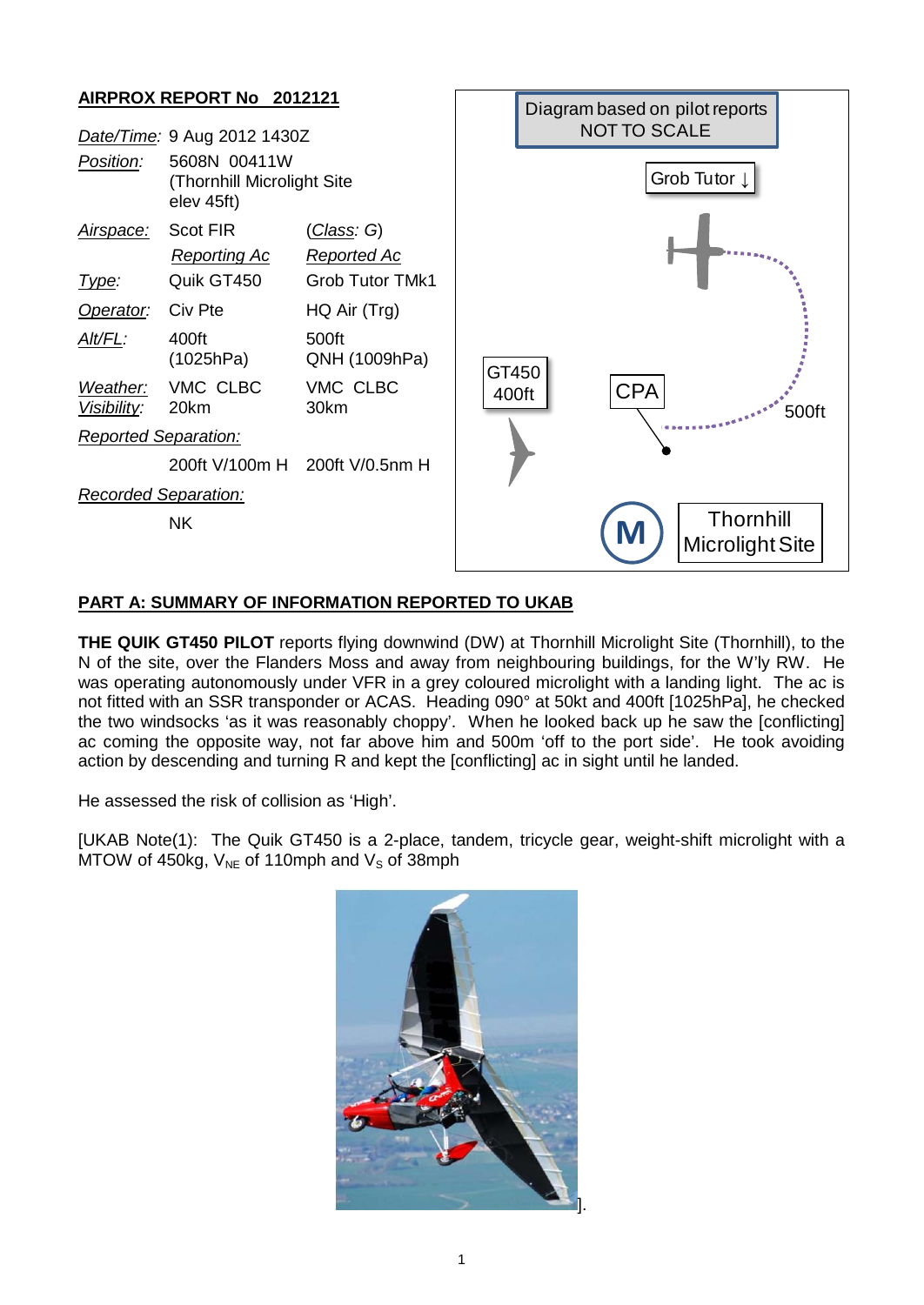## **AIRPROX REPORT No 2012121**

|                             | Date/Time: 9 Aug 2012 1430Z                              |                        |
|-----------------------------|----------------------------------------------------------|------------------------|
| Position:                   | 5608N 00411W<br>(Thornhill Microlight Site<br>elev 45ft) |                        |
| Airspace:                   | Scot FIR                                                 | <u>(Class</u> : G)     |
|                             | <u>Reporting Ac</u>                                      | Reported Ac            |
| lype:                       | Quik GT450                                               | Grob Tutor TMk1        |
| Operator: Civ Pte           |                                                          | HQ Air (Trg)           |
| AIt/FL:                     | 400ft<br>(1025hPa)                                       | 500ft<br>QNH (1009hPa) |
| Visibility: 20km            | Weather: VMC CLBC                                        | VMC CLBC<br>30km       |
| <b>Reported Separation:</b> |                                                          |                        |
|                             | 200ft V/100m H 200ft V/0.5nm H                           |                        |
| <b>Recorded Separation:</b> |                                                          |                        |
|                             | ΝK                                                       |                        |



## **PART A: SUMMARY OF INFORMATION REPORTED TO UKAB**

**THE QUIK GT450 PILOT** reports flying downwind (DW) at Thornhill Microlight Site (Thornhill), to the N of the site, over the Flanders Moss and away from neighbouring buildings, for the W'ly RW. He was operating autonomously under VFR in a grey coloured microlight with a landing light. The ac is not fitted with an SSR transponder or ACAS. Heading 090° at 50kt and 400ft [1025hPa], he checked the two windsocks 'as it was reasonably choppy'. When he looked back up he saw the [conflicting] ac coming the opposite way, not far above him and 500m 'off to the port side'. He took avoiding action by descending and turning R and kept the [conflicting] ac in sight until he landed.

He assessed the risk of collision as 'High'.

[UKAB Note(1): The Quik GT450 is a 2-place, tandem, tricycle gear, weight-shift microlight with a MTOW of 450kg,  $V_{NE}$  of 110mph and  $V_S$  of 38mph

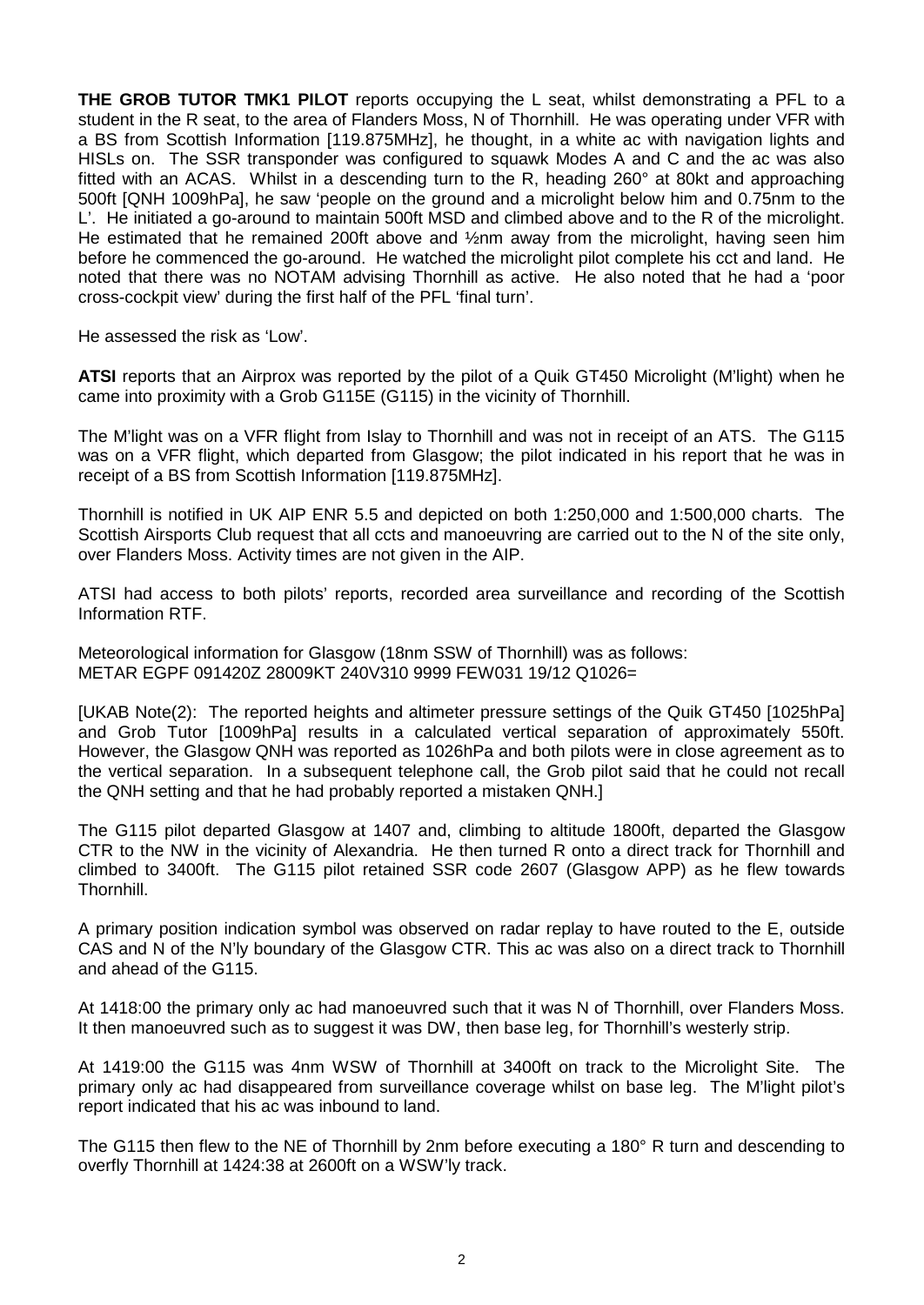**THE GROB TUTOR TMK1 PILOT** reports occupying the L seat, whilst demonstrating a PFL to a student in the R seat, to the area of Flanders Moss, N of Thornhill. He was operating under VFR with a BS from Scottish Information [119.875MHz], he thought, in a white ac with navigation lights and HISLs on. The SSR transponder was configured to squawk Modes A and C and the ac was also fitted with an ACAS. Whilst in a descending turn to the R, heading 260° at 80kt and approaching 500ft [QNH 1009hPa], he saw 'people on the ground and a microlight below him and 0.75nm to the L'. He initiated a go-around to maintain 500ft MSD and climbed above and to the R of the microlight. He estimated that he remained 200ft above and ½nm away from the microlight, having seen him before he commenced the go-around. He watched the microlight pilot complete his cct and land. He noted that there was no NOTAM advising Thornhill as active. He also noted that he had a 'poor cross-cockpit view' during the first half of the PFL 'final turn'.

He assessed the risk as 'Low'.

**ATSI** reports that an Airprox was reported by the pilot of a Quik GT450 Microlight (M'light) when he came into proximity with a Grob G115E (G115) in the vicinity of Thornhill.

The M'light was on a VFR flight from Islay to Thornhill and was not in receipt of an ATS. The G115 was on a VFR flight, which departed from Glasgow; the pilot indicated in his report that he was in receipt of a BS from Scottish Information [119.875MHz].

Thornhill is notified in UK AIP ENR 5.5 and depicted on both 1:250,000 and 1:500,000 charts. The Scottish Airsports Club request that all ccts and manoeuvring are carried out to the N of the site only, over Flanders Moss. Activity times are not given in the AIP.

ATSI had access to both pilots' reports, recorded area surveillance and recording of the Scottish Information RTF.

Meteorological information for Glasgow (18nm SSW of Thornhill) was as follows: METAR EGPF 091420Z 28009KT 240V310 9999 FEW031 19/12 Q1026=

[UKAB Note(2): The reported heights and altimeter pressure settings of the Quik GT450 [1025hPa] and Grob Tutor [1009hPa] results in a calculated vertical separation of approximately 550ft. However, the Glasgow QNH was reported as 1026hPa and both pilots were in close agreement as to the vertical separation. In a subsequent telephone call, the Grob pilot said that he could not recall the QNH setting and that he had probably reported a mistaken QNH.]

The G115 pilot departed Glasgow at 1407 and, climbing to altitude 1800ft, departed the Glasgow CTR to the NW in the vicinity of Alexandria. He then turned R onto a direct track for Thornhill and climbed to 3400ft. The G115 pilot retained SSR code 2607 (Glasgow APP) as he flew towards Thornhill.

A primary position indication symbol was observed on radar replay to have routed to the E, outside CAS and N of the N'ly boundary of the Glasgow CTR. This ac was also on a direct track to Thornhill and ahead of the G115.

At 1418:00 the primary only ac had manoeuvred such that it was N of Thornhill, over Flanders Moss. It then manoeuvred such as to suggest it was DW, then base leg, for Thornhill's westerly strip.

At 1419:00 the G115 was 4nm WSW of Thornhill at 3400ft on track to the Microlight Site. The primary only ac had disappeared from surveillance coverage whilst on base leg. The M'light pilot's report indicated that his ac was inbound to land.

The G115 then flew to the NE of Thornhill by 2nm before executing a 180° R turn and descending to overfly Thornhill at 1424:38 at 2600ft on a WSW'ly track.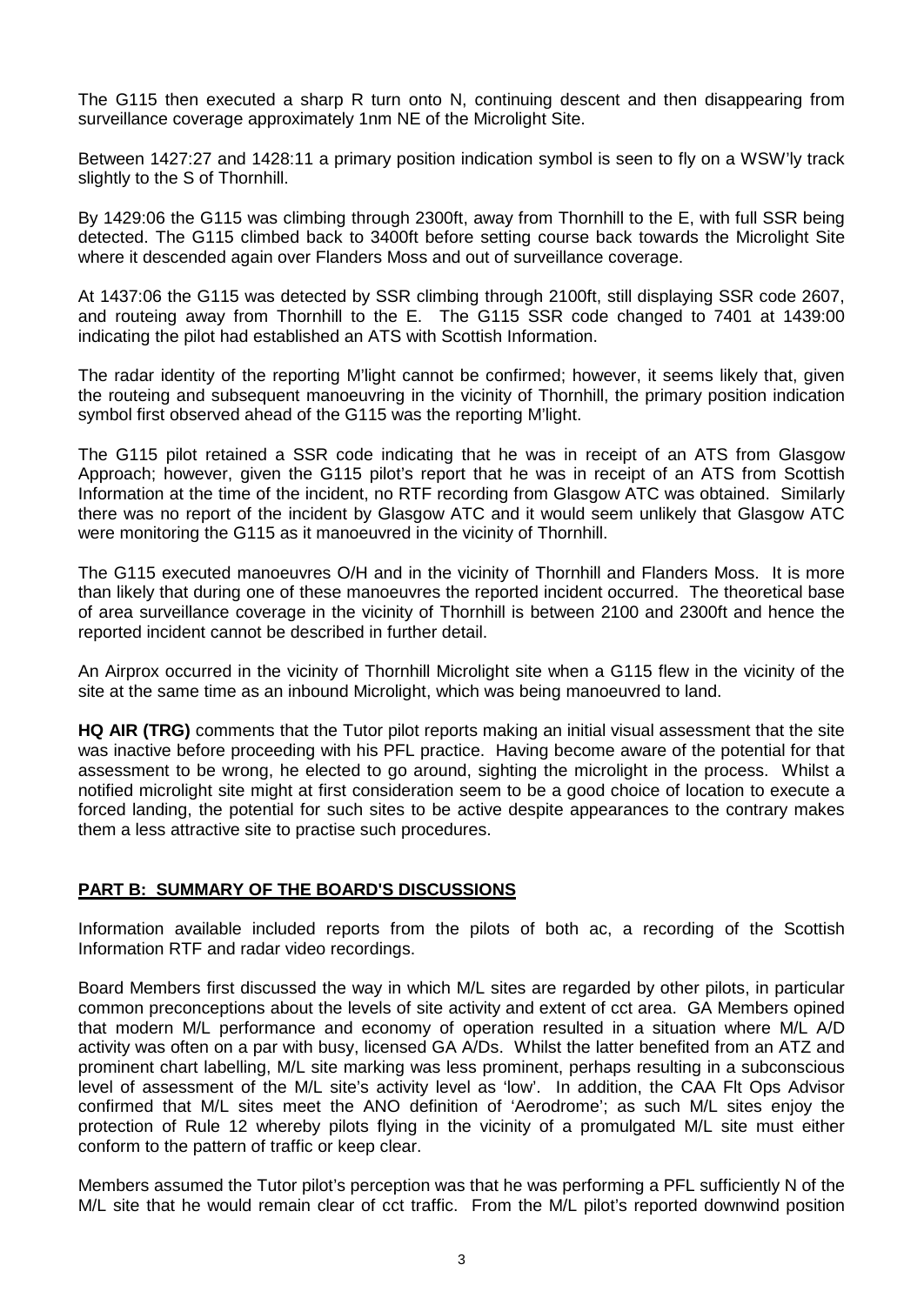The G115 then executed a sharp R turn onto N, continuing descent and then disappearing from surveillance coverage approximately 1nm NE of the Microlight Site.

Between 1427:27 and 1428:11 a primary position indication symbol is seen to fly on a WSW'ly track slightly to the S of Thornhill.

By 1429:06 the G115 was climbing through 2300ft, away from Thornhill to the E, with full SSR being detected. The G115 climbed back to 3400ft before setting course back towards the Microlight Site where it descended again over Flanders Moss and out of surveillance coverage.

At 1437:06 the G115 was detected by SSR climbing through 2100ft, still displaying SSR code 2607, and routeing away from Thornhill to the E. The G115 SSR code changed to 7401 at 1439:00 indicating the pilot had established an ATS with Scottish Information.

The radar identity of the reporting M'light cannot be confirmed; however, it seems likely that, given the routeing and subsequent manoeuvring in the vicinity of Thornhill, the primary position indication symbol first observed ahead of the G115 was the reporting M'light.

The G115 pilot retained a SSR code indicating that he was in receipt of an ATS from Glasgow Approach; however, given the G115 pilot's report that he was in receipt of an ATS from Scottish Information at the time of the incident, no RTF recording from Glasgow ATC was obtained. Similarly there was no report of the incident by Glasgow ATC and it would seem unlikely that Glasgow ATC were monitoring the G115 as it manoeuvred in the vicinity of Thornhill.

The G115 executed manoeuvres O/H and in the vicinity of Thornhill and Flanders Moss. It is more than likely that during one of these manoeuvres the reported incident occurred. The theoretical base of area surveillance coverage in the vicinity of Thornhill is between 2100 and 2300ft and hence the reported incident cannot be described in further detail.

An Airprox occurred in the vicinity of Thornhill Microlight site when a G115 flew in the vicinity of the site at the same time as an inbound Microlight, which was being manoeuvred to land.

**HQ AIR (TRG)** comments that the Tutor pilot reports making an initial visual assessment that the site was inactive before proceeding with his PFL practice. Having become aware of the potential for that assessment to be wrong, he elected to go around, sighting the microlight in the process. Whilst a notified microlight site might at first consideration seem to be a good choice of location to execute a forced landing, the potential for such sites to be active despite appearances to the contrary makes them a less attractive site to practise such procedures.

## **PART B: SUMMARY OF THE BOARD'S DISCUSSIONS**

Information available included reports from the pilots of both ac, a recording of the Scottish Information RTF and radar video recordings.

Board Members first discussed the way in which M/L sites are regarded by other pilots, in particular common preconceptions about the levels of site activity and extent of cct area. GA Members opined that modern M/L performance and economy of operation resulted in a situation where M/L A/D activity was often on a par with busy, licensed GA A/Ds. Whilst the latter benefited from an ATZ and prominent chart labelling, M/L site marking was less prominent, perhaps resulting in a subconscious level of assessment of the M/L site's activity level as 'low'. In addition, the CAA Flt Ops Advisor confirmed that M/L sites meet the ANO definition of 'Aerodrome'; as such M/L sites enjoy the protection of Rule 12 whereby pilots flying in the vicinity of a promulgated M/L site must either conform to the pattern of traffic or keep clear.

Members assumed the Tutor pilot's perception was that he was performing a PFL sufficiently N of the M/L site that he would remain clear of cct traffic. From the M/L pilot's reported downwind position